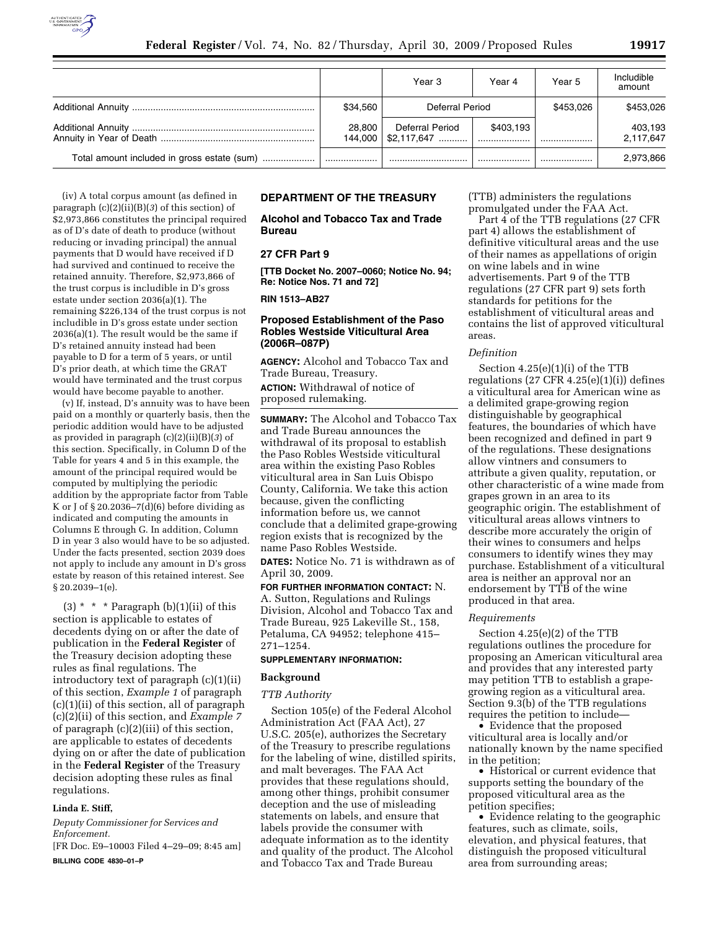

|                                             |                   | Year 3                          | Year 4        | Year 5    | Includible<br>amount |
|---------------------------------------------|-------------------|---------------------------------|---------------|-----------|----------------------|
|                                             | \$34.560          | Deferral Period                 |               | \$453,026 | \$453,026            |
|                                             | 28.800<br>144.000 | Deferral Period<br>$$2.117.647$ | \$403.193<br> |           | 403.193<br>2,117,647 |
| Total amount included in gross estate (sum) |                   |                                 |               |           | 2,973,866            |

(iv) A total corpus amount (as defined in paragraph (c)(2)(ii)(B)(*3*) of this section) of \$2,973,866 constitutes the principal required as of D's date of death to produce (without reducing or invading principal) the annual payments that D would have received if D had survived and continued to receive the retained annuity. Therefore, \$2,973,866 of the trust corpus is includible in D's gross estate under section 2036(a)(1). The remaining \$226,134 of the trust corpus is not includible in D's gross estate under section 2036(a)(1). The result would be the same if D's retained annuity instead had been payable to D for a term of 5 years, or until D's prior death, at which time the GRAT would have terminated and the trust corpus would have become payable to another.

(v) If, instead, D's annuity was to have been paid on a monthly or quarterly basis, then the periodic addition would have to be adjusted as provided in paragraph (c)(2)(ii)(B)(*3*) of this section. Specifically, in Column D of the Table for years 4 and 5 in this example, the amount of the principal required would be computed by multiplying the periodic addition by the appropriate factor from Table K or J of  $\S 20.2036 - 7(d)(6)$  before dividing as indicated and computing the amounts in Columns E through G. In addition, Column D in year 3 also would have to be so adjusted. Under the facts presented, section 2039 does not apply to include any amount in D's gross estate by reason of this retained interest. See § 20.2039–1(e).

(3)  $* * * \text{Paragnph (b)}(1)(ii)$  of this section is applicable to estates of decedents dying on or after the date of publication in the **Federal Register** of the Treasury decision adopting these rules as final regulations. The introductory text of paragraph (c)(1)(ii) of this section, *Example 1* of paragraph (c)(1)(ii) of this section, all of paragraph (c)(2)(ii) of this section, and *Example 7*  of paragraph (c)(2)(iii) of this section, are applicable to estates of decedents dying on or after the date of publication in the **Federal Register** of the Treasury decision adopting these rules as final regulations.

### **Linda E. Stiff,**

*Deputy Commissioner for Services and Enforcement.* 

[FR Doc. E9–10003 Filed 4–29–09; 8:45 am] **BILLING CODE 4830–01–P** 

### **DEPARTMENT OF THE TREASURY**

**Alcohol and Tobacco Tax and Trade Bureau** 

### **27 CFR Part 9**

**[TTB Docket No. 2007–0060; Notice No. 94; Re: Notice Nos. 71 and 72]** 

**RIN 1513–AB27** 

### **Proposed Establishment of the Paso Robles Westside Viticultural Area (2006R–087P)**

**AGENCY:** Alcohol and Tobacco Tax and Trade Bureau, Treasury. **ACTION:** Withdrawal of notice of proposed rulemaking.

**SUMMARY:** The Alcohol and Tobacco Tax and Trade Bureau announces the withdrawal of its proposal to establish the Paso Robles Westside viticultural area within the existing Paso Robles viticultural area in San Luis Obispo County, California. We take this action because, given the conflicting information before us, we cannot conclude that a delimited grape-growing region exists that is recognized by the name Paso Robles Westside.

**DATES:** Notice No. 71 is withdrawn as of April 30, 2009.

**FOR FURTHER INFORMATION CONTACT:** N. A. Sutton, Regulations and Rulings Division, Alcohol and Tobacco Tax and Trade Bureau, 925 Lakeville St., 158, Petaluma, CA 94952; telephone 415– 271–1254.

#### **SUPPLEMENTARY INFORMATION:**

### **Background**

#### *TTB Authority*

Section 105(e) of the Federal Alcohol Administration Act (FAA Act), 27 U.S.C. 205(e), authorizes the Secretary of the Treasury to prescribe regulations for the labeling of wine, distilled spirits, and malt beverages. The FAA Act provides that these regulations should, among other things, prohibit consumer deception and the use of misleading statements on labels, and ensure that labels provide the consumer with adequate information as to the identity and quality of the product. The Alcohol and Tobacco Tax and Trade Bureau

(TTB) administers the regulations promulgated under the FAA Act.

Part 4 of the TTB regulations (27 CFR part 4) allows the establishment of definitive viticultural areas and the use of their names as appellations of origin on wine labels and in wine advertisements. Part 9 of the TTB regulations (27 CFR part 9) sets forth standards for petitions for the establishment of viticultural areas and contains the list of approved viticultural areas.

### *Definition*

Section 4.25(e)(1)(i) of the TTB regulations  $(27 \text{ CFR } 4.25(e)(1)(i))$  defines a viticultural area for American wine as a delimited grape-growing region distinguishable by geographical features, the boundaries of which have been recognized and defined in part 9 of the regulations. These designations allow vintners and consumers to attribute a given quality, reputation, or other characteristic of a wine made from grapes grown in an area to its geographic origin. The establishment of viticultural areas allows vintners to describe more accurately the origin of their wines to consumers and helps consumers to identify wines they may purchase. Establishment of a viticultural area is neither an approval nor an endorsement by TTB of the wine produced in that area.

#### *Requirements*

Section 4.25(e)(2) of the TTB regulations outlines the procedure for proposing an American viticultural area and provides that any interested party may petition TTB to establish a grapegrowing region as a viticultural area. Section 9.3(b) of the TTB regulations requires the petition to include—

• Evidence that the proposed viticultural area is locally and/or nationally known by the name specified in the petition;

• Historical or current evidence that supports setting the boundary of the proposed viticultural area as the petition specifies;

• Evidence relating to the geographic features, such as climate, soils, elevation, and physical features, that distinguish the proposed viticultural area from surrounding areas;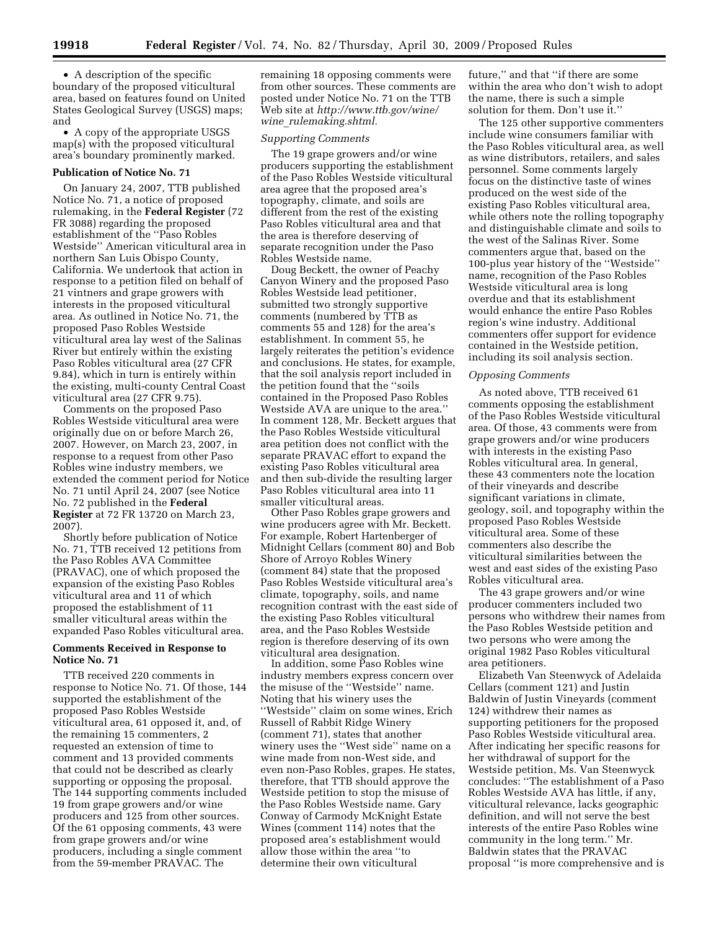• A description of the specific boundary of the proposed viticultural area, based on features found on United States Geological Survey (USGS) maps; and

• A copy of the appropriate USGS map(s) with the proposed viticultural area's boundary prominently marked.

#### **Publication of Notice No. 71**

On January 24, 2007, TTB published Notice No. 71, a notice of proposed rulemaking, in the **Federal Register** (72 FR 3088) regarding the proposed establishment of the ''Paso Robles Westside'' American viticultural area in northern San Luis Obispo County, California. We undertook that action in response to a petition filed on behalf of 21 vintners and grape growers with interests in the proposed viticultural area. As outlined in Notice No. 71, the proposed Paso Robles Westside viticultural area lay west of the Salinas River but entirely within the existing Paso Robles viticultural area (27 CFR 9.84), which in turn is entirely within the existing, multi-county Central Coast viticultural area (27 CFR 9.75).

Comments on the proposed Paso Robles Westside viticultural area were originally due on or before March 26, 2007. However, on March 23, 2007, in response to a request from other Paso Robles wine industry members, we extended the comment period for Notice No. 71 until April 24, 2007 (see Notice No. 72 published in the **Federal Register** at 72 FR 13720 on March 23, 2007).

Shortly before publication of Notice No. 71, TTB received 12 petitions from the Paso Robles AVA Committee (PRAVAC), one of which proposed the expansion of the existing Paso Robles viticultural area and 11 of which proposed the establishment of 11 smaller viticultural areas within the expanded Paso Robles viticultural area.

## **Comments Received in Response to Notice No. 71**

TTB received 220 comments in response to Notice No. 71. Of those, 144 supported the establishment of the proposed Paso Robles Westside viticultural area, 61 opposed it, and, of the remaining 15 commenters, 2 requested an extension of time to comment and 13 provided comments that could not be described as clearly supporting or opposing the proposal. The 144 supporting comments included 19 from grape growers and/or wine producers and 125 from other sources. Of the 61 opposing comments, 43 were from grape growers and/or wine producers, including a single comment from the 59-member PRAVAC. The

remaining 18 opposing comments were from other sources. These comments are posted under Notice No. 71 on the TTB Web site at *http://www.ttb.gov/wine/ wine*\_*rulemaking.shtml.* 

#### *Supporting Comments*

The 19 grape growers and/or wine producers supporting the establishment of the Paso Robles Westside viticultural area agree that the proposed area's topography, climate, and soils are different from the rest of the existing Paso Robles viticultural area and that the area is therefore deserving of separate recognition under the Paso Robles Westside name.

Doug Beckett, the owner of Peachy Canyon Winery and the proposed Paso Robles Westside lead petitioner, submitted two strongly supportive comments (numbered by TTB as comments 55 and 128) for the area's establishment. In comment 55, he largely reiterates the petition's evidence and conclusions. He states, for example, that the soil analysis report included in the petition found that the ''soils contained in the Proposed Paso Robles Westside AVA are unique to the area.'' In comment 128, Mr. Beckett argues that the Paso Robles Westside viticultural area petition does not conflict with the separate PRAVAC effort to expand the existing Paso Robles viticultural area and then sub-divide the resulting larger Paso Robles viticultural area into 11 smaller viticultural areas.

Other Paso Robles grape growers and wine producers agree with Mr. Beckett. For example, Robert Hartenberger of Midnight Cellars (comment 80) and Bob Shore of Arroyo Robles Winery (comment 84) state that the proposed Paso Robles Westside viticultural area's climate, topography, soils, and name recognition contrast with the east side of the existing Paso Robles viticultural area, and the Paso Robles Westside region is therefore deserving of its own viticultural area designation.

In addition, some Paso Robles wine industry members express concern over the misuse of the ''Westside'' name. Noting that his winery uses the ''Westside'' claim on some wines, Erich Russell of Rabbit Ridge Winery (comment 71), states that another winery uses the ''West side'' name on a wine made from non-West side, and even non-Paso Robles, grapes. He states, therefore, that TTB should approve the Westside petition to stop the misuse of the Paso Robles Westside name. Gary Conway of Carmody McKnight Estate Wines (comment 114) notes that the proposed area's establishment would allow those within the area ''to determine their own viticultural

future,'' and that ''if there are some within the area who don't wish to adopt the name, there is such a simple solution for them. Don't use it.''

The 125 other supportive commenters include wine consumers familiar with the Paso Robles viticultural area, as well as wine distributors, retailers, and sales personnel. Some comments largely focus on the distinctive taste of wines produced on the west side of the existing Paso Robles viticultural area, while others note the rolling topography and distinguishable climate and soils to the west of the Salinas River. Some commenters argue that, based on the 100-plus year history of the ''Westside'' name, recognition of the Paso Robles Westside viticultural area is long overdue and that its establishment would enhance the entire Paso Robles region's wine industry. Additional commenters offer support for evidence contained in the Westside petition, including its soil analysis section.

#### *Opposing Comments*

As noted above, TTB received 61 comments opposing the establishment of the Paso Robles Westside viticultural area. Of those, 43 comments were from grape growers and/or wine producers with interests in the existing Paso Robles viticultural area. In general, these 43 commenters note the location of their vineyards and describe significant variations in climate, geology, soil, and topography within the proposed Paso Robles Westside viticultural area. Some of these commenters also describe the viticultural similarities between the west and east sides of the existing Paso Robles viticultural area.

The 43 grape growers and/or wine producer commenters included two persons who withdrew their names from the Paso Robles Westside petition and two persons who were among the original 1982 Paso Robles viticultural area petitioners.

Elizabeth Van Steenwyck of Adelaida Cellars (comment 121) and Justin Baldwin of Justin Vineyards (comment 124) withdrew their names as supporting petitioners for the proposed Paso Robles Westside viticultural area. After indicating her specific reasons for her withdrawal of support for the Westside petition, Ms. Van Steenwyck concludes: ''The establishment of a Paso Robles Westside AVA has little, if any, viticultural relevance, lacks geographic definition, and will not serve the best interests of the entire Paso Robles wine community in the long term.'' Mr. Baldwin states that the PRAVAC proposal ''is more comprehensive and is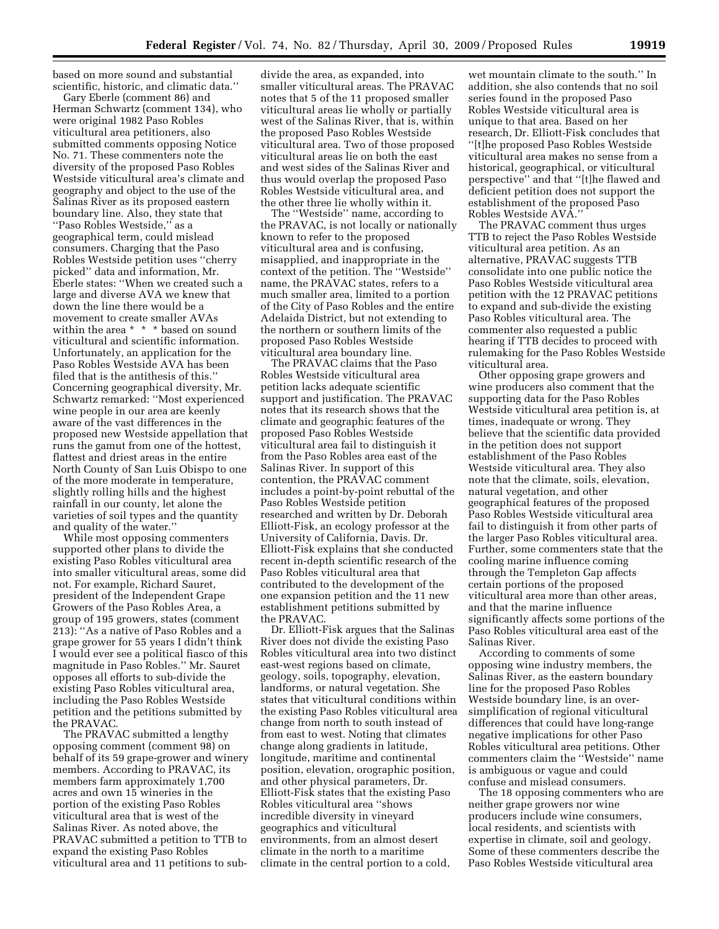based on more sound and substantial scientific, historic, and climatic data.''

Gary Eberle (comment 86) and Herman Schwartz (comment 134), who were original 1982 Paso Robles viticultural area petitioners, also submitted comments opposing Notice No. 71. These commenters note the diversity of the proposed Paso Robles Westside viticultural area's climate and geography and object to the use of the Salinas River as its proposed eastern boundary line. Also, they state that ''Paso Robles Westside,'' as a geographical term, could mislead consumers. Charging that the Paso Robles Westside petition uses ''cherry picked'' data and information, Mr. Eberle states: ''When we created such a large and diverse AVA we knew that down the line there would be a movement to create smaller AVAs within the area \* \* \* based on sound viticultural and scientific information. Unfortunately, an application for the Paso Robles Westside AVA has been filed that is the antithesis of this.'' Concerning geographical diversity, Mr. Schwartz remarked: ''Most experienced wine people in our area are keenly aware of the vast differences in the proposed new Westside appellation that runs the gamut from one of the hottest, flattest and driest areas in the entire North County of San Luis Obispo to one of the more moderate in temperature, slightly rolling hills and the highest rainfall in our county, let alone the varieties of soil types and the quantity and quality of the water.''

While most opposing commenters supported other plans to divide the existing Paso Robles viticultural area into smaller viticultural areas, some did not. For example, Richard Sauret, president of the Independent Grape Growers of the Paso Robles Area, a group of 195 growers, states (comment 213): ''As a native of Paso Robles and a grape grower for 55 years I didn't think I would ever see a political fiasco of this magnitude in Paso Robles.'' Mr. Sauret opposes all efforts to sub-divide the existing Paso Robles viticultural area, including the Paso Robles Westside petition and the petitions submitted by the PRAVAC.

The PRAVAC submitted a lengthy opposing comment (comment 98) on behalf of its 59 grape-grower and winery members. According to PRAVAC, its members farm approximately 1,700 acres and own 15 wineries in the portion of the existing Paso Robles viticultural area that is west of the Salinas River. As noted above, the PRAVAC submitted a petition to TTB to expand the existing Paso Robles viticultural area and 11 petitions to subdivide the area, as expanded, into smaller viticultural areas. The PRAVAC notes that 5 of the 11 proposed smaller viticultural areas lie wholly or partially west of the Salinas River, that is, within the proposed Paso Robles Westside viticultural area. Two of those proposed viticultural areas lie on both the east and west sides of the Salinas River and thus would overlap the proposed Paso Robles Westside viticultural area, and the other three lie wholly within it.

The ''Westside'' name, according to the PRAVAC, is not locally or nationally known to refer to the proposed viticultural area and is confusing, misapplied, and inappropriate in the context of the petition. The ''Westside'' name, the PRAVAC states, refers to a much smaller area, limited to a portion of the City of Paso Robles and the entire Adelaida District, but not extending to the northern or southern limits of the proposed Paso Robles Westside viticultural area boundary line.

The PRAVAC claims that the Paso Robles Westside viticultural area petition lacks adequate scientific support and justification. The PRAVAC notes that its research shows that the climate and geographic features of the proposed Paso Robles Westside viticultural area fail to distinguish it from the Paso Robles area east of the Salinas River. In support of this contention, the PRAVAC comment includes a point-by-point rebuttal of the Paso Robles Westside petition researched and written by Dr. Deborah Elliott-Fisk, an ecology professor at the University of California, Davis. Dr. Elliott-Fisk explains that she conducted recent in-depth scientific research of the Paso Robles viticultural area that contributed to the development of the one expansion petition and the 11 new establishment petitions submitted by the PRAVAC.

Dr. Elliott-Fisk argues that the Salinas River does not divide the existing Paso Robles viticultural area into two distinct east-west regions based on climate, geology, soils, topography, elevation, landforms, or natural vegetation. She states that viticultural conditions within the existing Paso Robles viticultural area change from north to south instead of from east to west. Noting that climates change along gradients in latitude, longitude, maritime and continental position, elevation, orographic position, and other physical parameters, Dr. Elliott-Fisk states that the existing Paso Robles viticultural area ''shows incredible diversity in vineyard geographics and viticultural environments, from an almost desert climate in the north to a maritime climate in the central portion to a cold,

wet mountain climate to the south.'' In addition, she also contends that no soil series found in the proposed Paso Robles Westside viticultural area is unique to that area. Based on her research, Dr. Elliott-Fisk concludes that ''[t]he proposed Paso Robles Westside viticultural area makes no sense from a historical, geographical, or viticultural perspective'' and that ''[t]he flawed and deficient petition does not support the establishment of the proposed Paso Robles Westside AVA.''

The PRAVAC comment thus urges TTB to reject the Paso Robles Westside viticultural area petition. As an alternative, PRAVAC suggests TTB consolidate into one public notice the Paso Robles Westside viticultural area petition with the 12 PRAVAC petitions to expand and sub-divide the existing Paso Robles viticultural area. The commenter also requested a public hearing if TTB decides to proceed with rulemaking for the Paso Robles Westside viticultural area.

Other opposing grape growers and wine producers also comment that the supporting data for the Paso Robles Westside viticultural area petition is, at times, inadequate or wrong. They believe that the scientific data provided in the petition does not support establishment of the Paso Robles Westside viticultural area. They also note that the climate, soils, elevation, natural vegetation, and other geographical features of the proposed Paso Robles Westside viticultural area fail to distinguish it from other parts of the larger Paso Robles viticultural area. Further, some commenters state that the cooling marine influence coming through the Templeton Gap affects certain portions of the proposed viticultural area more than other areas, and that the marine influence significantly affects some portions of the Paso Robles viticultural area east of the Salinas River.

According to comments of some opposing wine industry members, the Salinas River, as the eastern boundary line for the proposed Paso Robles Westside boundary line, is an oversimplification of regional viticultural differences that could have long-range negative implications for other Paso Robles viticultural area petitions. Other commenters claim the ''Westside'' name is ambiguous or vague and could confuse and mislead consumers.

The 18 opposing commenters who are neither grape growers nor wine producers include wine consumers, local residents, and scientists with expertise in climate, soil and geology. Some of these commenters describe the Paso Robles Westside viticultural area